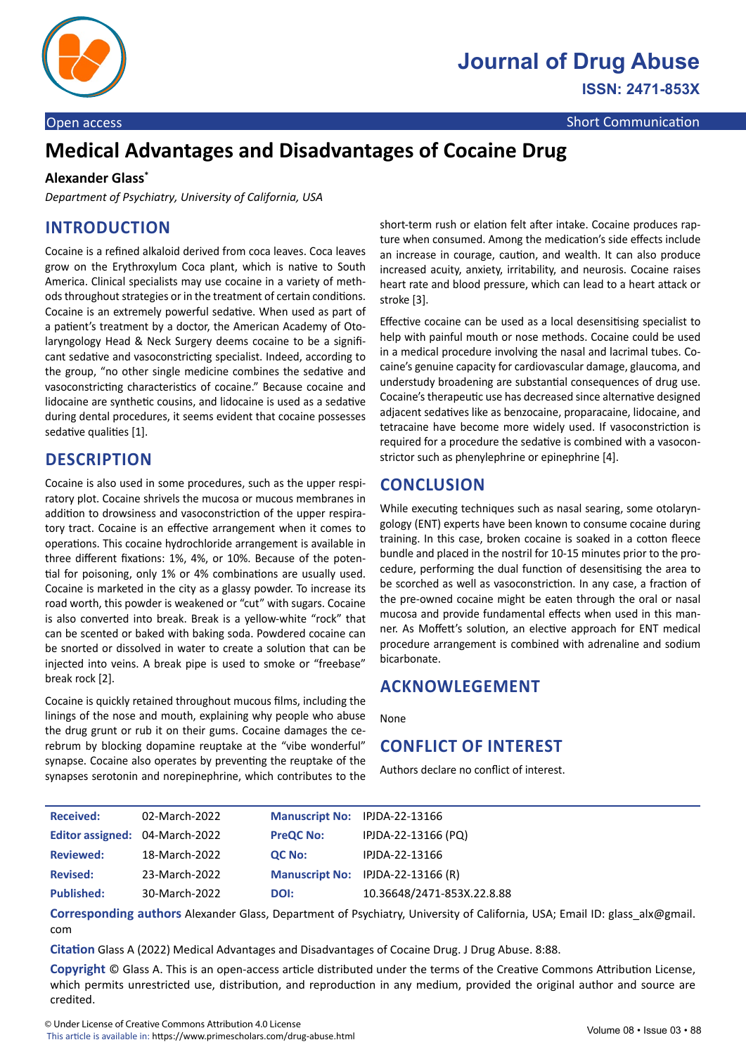

# **Medical Advantages and Disadvantages of Cocaine Drug**

#### **Alexander Glass\***

*Department of Psychiatry, University of California, USA*

# **INTRODUCTION**

Cocaine is a refined alkaloid derived from coca leaves. Coca leaves grow on the Erythroxylum Coca plant, which is native to South America. Clinical specialists may use cocaine in a variety of methods throughout strategies or in the treatment of certain conditions. Cocaine is an extremely powerful sedative. When used as part of a patient's treatment by a doctor, the American Academy of Otolaryngology Head & Neck Surgery deems cocaine to be a significant sedative and vasoconstricting specialist. Indeed, according to the group, "no other single medicine combines the sedative and vasoconstricting characteristics of cocaine." Because cocaine and lidocaine are synthetic cousins, and lidocaine is used as a sedative during dental procedures, it seems evident that cocaine possesses sedative qualities [1].

### **DESCRIPTION**

Cocaine is also used in some procedures, such as the upper respiratory plot. Cocaine shrivels the mucosa or mucous membranes in addition to drowsiness and vasoconstriction of the upper respiratory tract. Cocaine is an effective arrangement when it comes to operations. This cocaine hydrochloride arrangement is available in three different fixations: 1%, 4%, or 10%. Because of the potential for poisoning, only 1% or 4% combinations are usually used. Cocaine is marketed in the city as a glassy powder. To increase its road worth, this powder is weakened or "cut" with sugars. Cocaine is also converted into break. Break is a yellow-white "rock" that can be scented or baked with baking soda. Powdered cocaine can be snorted or dissolved in water to create a solution that can be injected into veins. A break pipe is used to smoke or "freebase" break rock [2].

Cocaine is quickly retained throughout mucous films, including the linings of the nose and mouth, explaining why people who abuse the drug grunt or rub it on their gums. Cocaine damages the cerebrum by blocking dopamine reuptake at the "vibe wonderful" synapse. Cocaine also operates by preventing the reuptake of the synapses serotonin and norepinephrine, which contributes to the

short-term rush or elation felt after intake. Cocaine produces rapture when consumed. Among the medication's side effects include an increase in courage, caution, and wealth. It can also produce increased acuity, anxiety, irritability, and neurosis. Cocaine raises heart rate and blood pressure, which can lead to a heart attack or stroke [3].

Effective cocaine can be used as a local desensitising specialist to help with painful mouth or nose methods. Cocaine could be used in a medical procedure involving the nasal and lacrimal tubes. Cocaine's genuine capacity for cardiovascular damage, glaucoma, and understudy broadening are substantial consequences of drug use. Cocaine's therapeutic use has decreased since alternative designed adjacent sedatives like as benzocaine, proparacaine, lidocaine, and tetracaine have become more widely used. If vasoconstriction is required for a procedure the sedative is combined with a vasoconstrictor such as phenylephrine or epinephrine [4].

# **CONCLUSION**

While executing techniques such as nasal searing, some otolaryngology (ENT) experts have been known to consume cocaine during training. In this case, broken cocaine is soaked in a cotton fleece bundle and placed in the nostril for 10-15 minutes prior to the procedure, performing the dual function of desensitising the area to be scorched as well as vasoconstriction. In any case, a fraction of the pre-owned cocaine might be eaten through the oral or nasal mucosa and provide fundamental effects when used in this manner. As Moffett's solution, an elective approach for ENT medical procedure arrangement is combined with adrenaline and sodium bicarbonate.

### **ACKNOWLEGEMENT**

None

### **CONFLICT OF INTEREST**

Authors declare no conflict of interest.

| <b>Received:</b>               | 02-March-2022 | Manuscript No: IPJDA-22-13166 |                                   |
|--------------------------------|---------------|-------------------------------|-----------------------------------|
| Editor assigned: 04-March-2022 |               | <b>PreQC No:</b>              | IPJDA-22-13166 (PQ)               |
| <b>Reviewed:</b>               | 18-March-2022 | <b>QC No:</b>                 | IPJDA-22-13166                    |
| <b>Revised:</b>                | 23-March-2022 |                               | Manuscript No: IPJDA-22-13166 (R) |
| <b>Published:</b>              | 30-March-2022 | DOI:                          | 10.36648/2471-853X.22.8.88        |

**Corresponding authors** Alexander Glass, Department of Psychiatry, University of California, USA; Email ID: glass\_alx@gmail. com

**Citation** Glass A (2022) Medical Advantages and Disadvantages of Cocaine Drug. J Drug Abuse. 8:88.

**Copyright** © Glass A. This is an open-access article distributed under the terms of the Creative Commons Attribution License, which permits unrestricted use, distribution, and reproduction in any medium, provided the original author and source are credited.